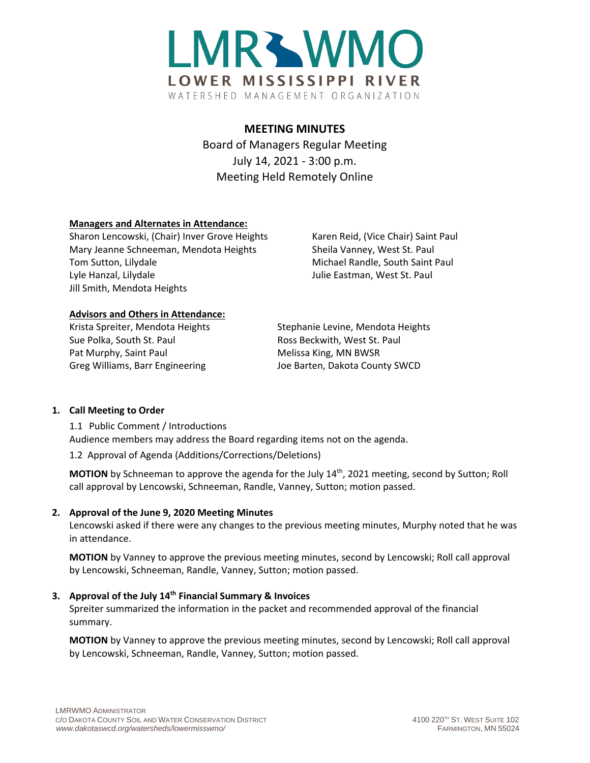

# **MEETING MINUTES**

Board of Managers Regular Meeting July 14, 2021 - 3:00 p.m. Meeting Held Remotely Online

### **Managers and Alternates in Attendance:**

Sharon Lencowski, (Chair) Inver Grove Heights Karen Reid, (Vice Chair) Saint Paul Mary Jeanne Schneeman, Mendota Heights Sheila Vanney, West St. Paul Tom Sutton, Lilydale Michael Randle, South Saint Paul Lyle Hanzal, Lilydale **Julie Eastman, West St. Paul** Jill Smith, Mendota Heights

### **Advisors and Others in Attendance:**

Sue Polka, South St. Paul **Ross Beckwith, West St. Paul** Pat Murphy, Saint Paul Melissa King, MN BWSR Greg Williams, Barr Engineering Joe Barten, Dakota County SWCD

Krista Spreiter, Mendota Heights Stephanie Levine, Mendota Heights

# **1. Call Meeting to Order**

1.1 Public Comment / Introductions Audience members may address the Board regarding items not on the agenda.

1.2 Approval of Agenda (Additions/Corrections/Deletions)

**MOTION** by Schneeman to approve the agenda for the July 14<sup>th</sup>, 2021 meeting, second by Sutton; Roll call approval by Lencowski, Schneeman, Randle, Vanney, Sutton; motion passed.

# **2. Approval of the June 9, 2020 Meeting Minutes**

Lencowski asked if there were any changes to the previous meeting minutes, Murphy noted that he was in attendance.

**MOTION** by Vanney to approve the previous meeting minutes, second by Lencowski; Roll call approval by Lencowski, Schneeman, Randle, Vanney, Sutton; motion passed.

# **3. Approval of the July 14th Financial Summary & Invoices**

Spreiter summarized the information in the packet and recommended approval of the financial summary.

**MOTION** by Vanney to approve the previous meeting minutes, second by Lencowski; Roll call approval by Lencowski, Schneeman, Randle, Vanney, Sutton; motion passed.